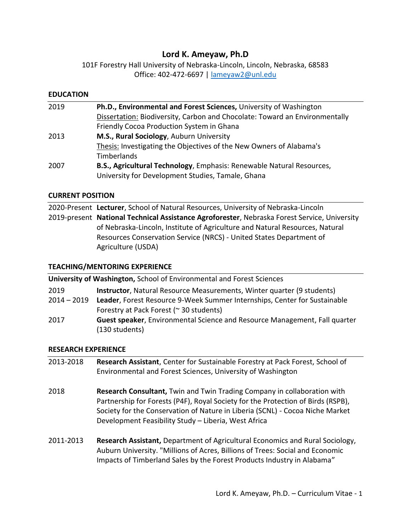# **Lord K. Ameyaw, Ph.D**

101F Forestry Hall University of Nebraska-Lincoln, Lincoln, Nebraska, 68583 Office: 402-472-6697 | [lameyaw2@unl.edu](mailto:lameyaw2@unl.edu)

### **EDUCATION**

| 2019 | Ph.D., Environmental and Forest Sciences, University of Washington          |
|------|-----------------------------------------------------------------------------|
|      | Dissertation: Biodiversity, Carbon and Chocolate: Toward an Environmentally |
|      | Friendly Cocoa Production System in Ghana                                   |
| 2013 | M.S., Rural Sociology, Auburn University                                    |
|      | Thesis: Investigating the Objectives of the New Owners of Alabama's         |
|      | Timberlands                                                                 |
| 2007 | B.S., Agricultural Technology, Emphasis: Renewable Natural Resources,       |
|      | University for Development Studies, Tamale, Ghana                           |

### **CURRENT POSITION**

2020-Present **Lecturer**, School of Natural Resources, University of Nebraska-Lincoln 2019-present **National Technical Assistance Agroforester**, Nebraska Forest Service, University of Nebraska-Lincoln, Institute of Agriculture and Natural Resources, Natural Resources Conservation Service (NRCS) - United States Department of Agriculture (USDA)

### **TEACHING/MENTORING EXPERIENCE**

| <b>University of Washington, School of Environmental and Forest Sciences</b> |                                                                                              |  |
|------------------------------------------------------------------------------|----------------------------------------------------------------------------------------------|--|
| 2019                                                                         | <b>Instructor</b> , Natural Resource Measurements, Winter quarter (9 students)               |  |
| 2014 - 2019                                                                  | Leader, Forest Resource 9-Week Summer Internships, Center for Sustainable                    |  |
|                                                                              | Forestry at Pack Forest (~ 30 students)                                                      |  |
| 2017                                                                         | Guest speaker, Environmental Science and Resource Management, Fall quarter<br>(130 students) |  |

### **RESEARCH EXPERIENCE**

- 2013-2018 **Research Assistant**, Center for Sustainable Forestry at Pack Forest, School of Environmental and Forest Sciences, University of Washington
- 2018 **Research Consultant,** Twin and Twin Trading Company in collaboration with Partnership for Forests (P4F), Royal Society for the Protection of Birds (RSPB), Society for the Conservation of Nature in Liberia (SCNL) - Cocoa Niche Market Development Feasibility Study – Liberia, West Africa
- 2011-2013 **Research Assistant,** Department of Agricultural Economics and Rural Sociology, Auburn University. "Millions of Acres, Billions of Trees: Social and Economic Impacts of Timberland Sales by the Forest Products Industry in Alabama"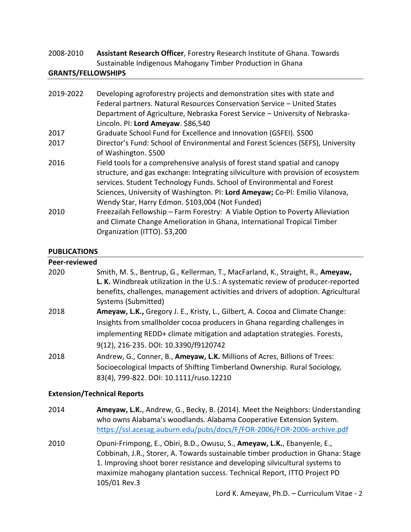## 2008-2010 **Assistant Research Officer**, Forestry Research Institute of Ghana. Towards Sustainable Indigenous Mahogany Timber Production in Ghana

### **GRANTS/FELLOWSHIPS**

| 2019-2022 | Developing agroforestry projects and demonstration sites with state and<br>Federal partners. Natural Resources Conservation Service - United States                                                                                                                                                                                                                           |
|-----------|-------------------------------------------------------------------------------------------------------------------------------------------------------------------------------------------------------------------------------------------------------------------------------------------------------------------------------------------------------------------------------|
|           | Department of Agriculture, Nebraska Forest Service - University of Nebraska-<br>Lincoln. PI: Lord Ameyaw. \$86,540                                                                                                                                                                                                                                                            |
| 2017      | Graduate School Fund for Excellence and Innovation (GSFEI). \$500                                                                                                                                                                                                                                                                                                             |
| 2017      | Director's Fund: School of Environmental and Forest Sciences (SEFS), University<br>of Washington. \$500                                                                                                                                                                                                                                                                       |
| 2016      | Field tools for a comprehensive analysis of forest stand spatial and canopy<br>structure, and gas exchange: Integrating silviculture with provision of ecosystem<br>services. Student Technology Funds. School of Environmental and Forest<br>Sciences, University of Washington. PI: Lord Ameyaw; Co-PI: Emilio Vilanova,<br>Wendy Star, Harry Edmon. \$103,004 (Not Funded) |
| 2010      | Freezailah Fellowship - Farm Forestry: A Viable Option to Poverty Alleviation<br>and Climate Change Amelioration in Ghana, International Tropical Timber<br>Organization (ITTO). \$3,200                                                                                                                                                                                      |

## **PUBLICATIONS**

## **Peer-reviewed**

| 2020 | Smith, M. S., Bentrup, G., Kellerman, T., MacFarland, K., Straight, R., Ameyaw,<br>L. K. Windbreak utilization in the U.S.: A systematic review of producer-reported<br>benefits, challenges, management activities and drivers of adoption. Agricultural<br>Systems (Submitted) |
|------|----------------------------------------------------------------------------------------------------------------------------------------------------------------------------------------------------------------------------------------------------------------------------------|
| 2018 | Ameyaw, L.K., Gregory J. E., Kristy, L., Gilbert, A. Cocoa and Climate Change:                                                                                                                                                                                                   |
|      | Insights from smallholder cocoa producers in Ghana regarding challenges in                                                                                                                                                                                                       |
|      | implementing REDD+ climate mitigation and adaptation strategies. Forests,                                                                                                                                                                                                        |
|      | 9(12), 216-235. DOI: 10.3390/f9120742                                                                                                                                                                                                                                            |
| 2018 | Andrew, G., Conner, B., Ameyaw, L.K. Millions of Acres, Billions of Trees:                                                                                                                                                                                                       |
|      | Socioecological Impacts of Shifting Timberland Ownership. Rural Sociology,                                                                                                                                                                                                       |
|      | 83(4), 799-822. DOI: 10.1111/ruso.12210                                                                                                                                                                                                                                          |

### **Extension/Technical Reports**

- 2014 **Ameyaw, L.K.**, Andrew, G., Becky, B. (2014). Meet the Neighbors: Understanding who owns Alabama's woodlands. Alabama Cooperative Extension System. <https://ssl.acesag.auburn.edu/pubs/docs/F/FOR-2006/FOR-2006-archive.pdf>
- 2010 Opuni-Frimpong, E., Obiri, B.D., Owusu, S., **Ameyaw, L.K.**, Ebanyenle, E., Cobbinah, J.R., Storer, A. Towards sustainable timber production in Ghana: Stage 1. Improving shoot borer resistance and developing silvicultural systems to maximize mahogany plantation success. Technical Report, ITTO Project PD 105/01 Rev.3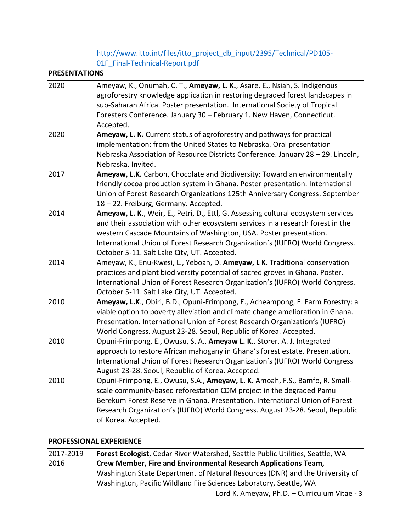[http://www.itto.int/files/itto\\_project\\_db\\_input/2395/Technical/PD105-](http://www.itto.int/files/itto_project_db_input/2395/Technical/PD105-01F_Final-Technical-Report.pdf) 01F Final-Technical-Report.pdf

#### **PRESENTATIONS**

| 2020 | Ameyaw, K., Onumah, C. T., Ameyaw, L. K., Asare, E., Nsiah, S. Indigenous<br>agroforestry knowledge application in restoring degraded forest landscapes in<br>sub-Saharan Africa. Poster presentation. International Society of Tropical<br>Foresters Conference. January 30 - February 1. New Haven, Connecticut.<br>Accepted.                                             |
|------|-----------------------------------------------------------------------------------------------------------------------------------------------------------------------------------------------------------------------------------------------------------------------------------------------------------------------------------------------------------------------------|
| 2020 | Ameyaw, L. K. Current status of agroforestry and pathways for practical<br>implementation: from the United States to Nebraska. Oral presentation<br>Nebraska Association of Resource Districts Conference. January 28 - 29. Lincoln,<br>Nebraska. Invited.                                                                                                                  |
| 2017 | Ameyaw, L.K. Carbon, Chocolate and Biodiversity: Toward an environmentally<br>friendly cocoa production system in Ghana. Poster presentation. International<br>Union of Forest Research Organizations 125th Anniversary Congress. September<br>18 - 22. Freiburg, Germany. Accepted.                                                                                        |
| 2014 | Ameyaw, L. K., Weir, E., Petri, D., Ettl, G. Assessing cultural ecosystem services<br>and their association with other ecosystem services in a research forest in the<br>western Cascade Mountains of Washington, USA. Poster presentation.<br>International Union of Forest Research Organization's (IUFRO) World Congress.<br>October 5-11. Salt Lake City, UT. Accepted. |
| 2014 | Ameyaw, K., Enu-Kwesi, L., Yeboah, D. Ameyaw, L K. Traditional conservation<br>practices and plant biodiversity potential of sacred groves in Ghana. Poster.<br>International Union of Forest Research Organization's (IUFRO) World Congress.<br>October 5-11. Salt Lake City, UT. Accepted.                                                                                |
| 2010 | Ameyaw, L.K., Obiri, B.D., Opuni-Frimpong, E., Acheampong, E. Farm Forestry: a<br>viable option to poverty alleviation and climate change amelioration in Ghana.<br>Presentation. International Union of Forest Research Organization's (IUFRO)<br>World Congress. August 23-28. Seoul, Republic of Korea. Accepted.                                                        |
| 2010 | Opuni-Frimpong, E., Owusu, S. A., Ameyaw L. K., Storer, A. J. Integrated<br>approach to restore African mahogany in Ghana's forest estate. Presentation.<br>International Union of Forest Research Organization's (IUFRO) World Congress<br>August 23-28. Seoul, Republic of Korea. Accepted.                                                                               |
| 2010 | Opuni-Frimpong, E., Owusu, S.A., Ameyaw, L. K. Amoah, F.S., Bamfo, R. Small-<br>scale community-based reforestation CDM project in the degraded Pamu<br>Berekum Forest Reserve in Ghana. Presentation. International Union of Forest<br>Research Organization's (IUFRO) World Congress. August 23-28. Seoul, Republic<br>of Korea. Accepted.                                |

## **PROFESSIONAL EXPERIENCE**

Lord K. Ameyaw, Ph.D. – Curriculum Vitae - 3 2017-2019 **Forest Ecologist**, Cedar River Watershed, Seattle Public Utilities, Seattle, WA 2016 **Crew Member, Fire and Environmental Research Applications Team,**  Washington State Department of Natural Resources (DNR) and the University of Washington, Pacific Wildland Fire Sciences Laboratory, Seattle, WA